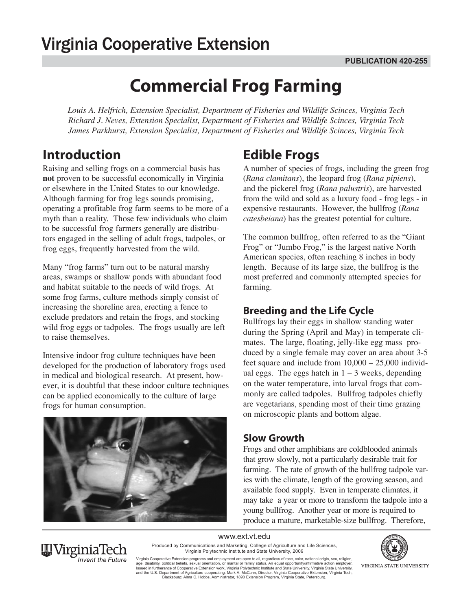# **Commercial Frog Farming**

*Louis A. Helfrich, Extension Specialist, Department of Fisheries and Wildlife Scinces, Virginia Tech Richard J. Neves, Extension Specialist, Department of Fisheries and Wildlife Scinces, Virginia Tech James Parkhurst, Extension Specialist, Department of Fisheries and Wildlife Scinces, Virginia Tech*

### **Introduction**

Raising and selling frogs on a commercial basis has **not** proven to be successful economically in Virginia or elsewhere in the United States to our knowledge. Although farming for frog legs sounds promising, operating a profitable frog farm seems to be more of a myth than a reality. Those few individuals who claim to be successful frog farmers generally are distributors engaged in the selling of adult frogs, tadpoles, or frog eggs, frequently harvested from the wild.

Many "frog farms" turn out to be natural marshy areas, swamps or shallow ponds with abundant food and habitat suitable to the needs of wild frogs. At some frog farms, culture methods simply consist of increasing the shoreline area, erecting a fence to exclude predators and retain the frogs, and stocking wild frog eggs or tadpoles. The frogs usually are left to raise themselves.

Intensive indoor frog culture techniques have been developed for the production of laboratory frogs used in medical and biological research. At present, however, it is doubtful that these indoor culture techniques can be applied economically to the culture of large frogs for human consumption.



## **Edible Frogs**

A number of species of frogs, including the green frog (*Rana clamitans*), the leopard frog (*Rana pipiens*), and the pickerel frog (*Rana palustris*), are harvested from the wild and sold as a luxury food - frog legs - in expensive restaurants. However, the bullfrog (*Rana catesbeiana*) has the greatest potential for culture.

The common bullfrog, often referred to as the "Giant Frog" or "Jumbo Frog," is the largest native North American species, often reaching 8 inches in body length. Because of its large size, the bullfrog is the most preferred and commonly attempted species for farming.

### **Breeding and the Life Cycle**

Bullfrogs lay their eggs in shallow standing water during the Spring (April and May) in temperate climates. The large, floating, jelly-like egg mass produced by a single female may cover an area about 3-5 feet square and include from  $10,000 - 25,000$  individual eggs. The eggs hatch in  $1 - 3$  weeks, depending on the water temperature, into larval frogs that commonly are called tadpoles. Bullfrog tadpoles chiefly are vegetarians, spending most of their time grazing on microscopic plants and bottom algae.

#### **Slow Growth**

Frogs and other amphibians are coldblooded animals that grow slowly, not a particularly desirable trait for farming. The rate of growth of the bullfrog tadpole varies with the climate, length of the growing season, and available food supply. Even in temperate climates, it may take a year or more to transform the tadpole into a young bullfrog. Another year or more is required to produce a mature, marketable-size bullfrog. Therefore,

#### www.ext.vt.edu



Produced by Communications and Marketing, College of Agriculture and Life Sciences, Virginia Polytechnic Institute and State University, 2009

Virginia Cooperative Extension programs and employment are open to all, regardless of race, color, national origin, sex, religion, age, disability, political beliefs, sexual orientation, or marital or family status. An equal opportunity/affirmative action employer.<br>Issued in furtherance of Cooperative Extension work, Virginia Polytechnic Institute and Blacksburg; Alma C. Hobbs, Administrator, 1890 Extension Program, Virginia State, Petersburg.

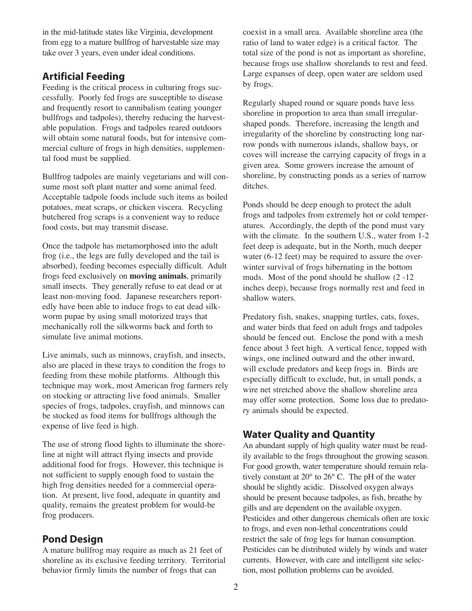in the mid-latitude states like Virginia, development from egg to a mature bullfrog of harvestable size may take over 3 years, even under ideal conditions.

#### **Artificial Feeding**

Feeding is the critical process in culturing frogs successfully. Poorly fed frogs are susceptible to disease and frequently resort to cannibalism (eating younger bullfrogs and tadpoles), thereby reducing the harvestable population. Frogs and tadpoles reared outdoors will obtain some natural foods, but for intensive commercial culture of frogs in high densities, supplemental food must be supplied.

Bullfrog tadpoles are mainly vegetarians and will consume most soft plant matter and some animal feed. Acceptable tadpole foods include such items as boiled potatoes, meat scraps, or chicken viscera. Recycling butchered frog scraps is a convenient way to reduce food costs, but may transmit disease.

Once the tadpole has metamorphosed into the adult frog (i.e., the legs are fully developed and the tail is absorbed), feeding becomes especially difficult. Adult frogs feed exclusively on **moving animals**, primarily small insects. They generally refuse to eat dead or at least non-moving food. Japanese researchers reportedly have been able to induce frogs to eat dead silkworm pupae by using small motorized trays that mechanically roll the silkworms back and forth to simulate live animal motions.

Live animals, such as minnows, crayfish, and insects, also are placed in these trays to condition the frogs to feeding from these mobile platforms. Although this technique may work, most American frog farmers rely on stocking or attracting live food animals. Smaller species of frogs, tadpoles, crayfish, and minnows can be stocked as food items for bullfrogs although the expense of live feed is high.

The use of strong flood lights to illuminate the shoreline at night will attract flying insects and provide additional food for frogs. However, this technique is not sufficient to supply enough food to sustain the high frog densities needed for a commercial operation. At present, live food, adequate in quantity and quality, remains the greatest problem for would-be frog producers.

#### **Pond Design**

A mature bullfrog may require as much as 21 feet of shoreline as its exclusive feeding territory. Territorial behavior firmly limits the number of frogs that can

coexist in a small area. Available shoreline area (the ratio of land to water edge) is a critical factor. The total size of the pond is not as important as shoreline, because frogs use shallow shorelands to rest and feed. Large expanses of deep, open water are seldom used by frogs.

Regularly shaped round or square ponds have less shoreline in proportion to area than small irregularshaped ponds. Therefore, increasing the length and irregularity of the shoreline by constructing long narrow ponds with numerous islands, shallow bays, or coves will increase the carrying capacity of frogs in a given area. Some growers increase the amount of shoreline, by constructing ponds as a series of narrow ditches.

Ponds should be deep enough to protect the adult frogs and tadpoles from extremely hot or cold temperatures. Accordingly, the depth of the pond must vary with the climate. In the southern U.S., water from 1-2 feet deep is adequate, but in the North, much deeper water (6-12 feet) may be required to assure the overwinter survival of frogs hibernating in the bottom muds. Most of the pond should be shallow (2 -12 inches deep), because frogs normally rest and feed in shallow waters.

Predatory fish, snakes, snapping turtles, cats, foxes, and water birds that feed on adult frogs and tadpoles should be fenced out. Enclose the pond with a mesh fence about 3 feet high. A vertical fence, topped with wings, one inclined outward and the other inward, will exclude predators and keep frogs in. Birds are especially difficult to exclude, but, in small ponds, a wire net stretched above the shallow shoreline area may offer some protection. Some loss due to predatory animals should be expected.

#### **Water Quality and Quantity**

An abundant supply of high quality water must be readily available to the frogs throughout the growing season. For good growth, water temperature should remain relatively constant at 20° to 26° C. The pH of the water should be slightly acidic. Dissolved oxygen always should be present because tadpoles, as fish, breathe by gills and are dependent on the available oxygen. Pesticides and other dangerous chemicals often are toxic to frogs, and even non-lethal concentrations could restrict the sale of frog legs for human consumption. Pesticides can be distributed widely by winds and water currents. However, with care and intelligent site selection, most pollution problems can be avoided.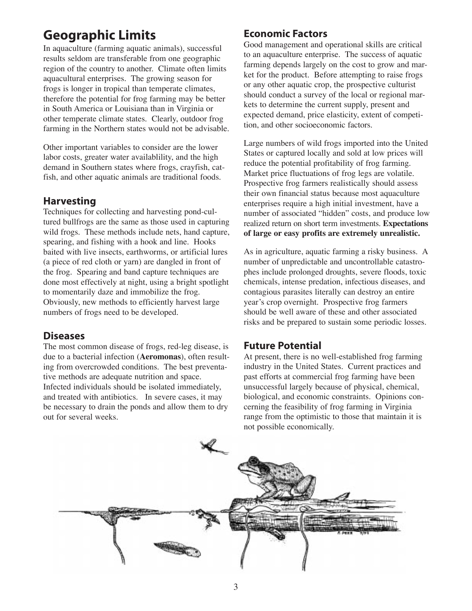### **Geographic Limits**

In aquaculture (farming aquatic animals), successful results seldom are transferable from one geographic region of the country to another. Climate often limits aquacultural enterprises. The growing season for frogs is longer in tropical than temperate climates, therefore the potential for frog farming may be better in South America or Louisiana than in Virginia or other temperate climate states. Clearly, outdoor frog farming in the Northern states would not be advisable.

Other important variables to consider are the lower labor costs, greater water availablility, and the high demand in Southern states where frogs, crayfish, catfish, and other aquatic animals are traditional foods.

#### **Harvesting**

Techniques for collecting and harvesting pond-cultured bullfrogs are the same as those used in capturing wild frogs. These methods include nets, hand capture, spearing, and fishing with a hook and line. Hooks baited with live insects, earthworms, or artificial lures (a piece of red cloth or yarn) are dangled in front of the frog. Spearing and band capture techniques are done most effectively at night, using a bright spotlight to momentarily daze and immobilize the frog. Obviously, new methods to efficiently harvest large numbers of frogs need to be developed.

#### **Diseases**

The most common disease of frogs, red-leg disease, is due to a bacterial infection (**Aeromonas**), often resulting from overcrowded conditions. The best preventative methods are adequate nutrition and space. Infected individuals should be isolated immediately, and treated with antibiotics. In severe cases, it may be necessary to drain the ponds and allow them to dry out for several weeks.

#### **Economic Factors**

Good management and operational skills are critical to an aquaculture enterprise. The success of aquatic farming depends largely on the cost to grow and market for the product. Before attempting to raise frogs or any other aquatic crop, the prospective culturist should conduct a survey of the local or regional markets to determine the current supply, present and expected demand, price elasticity, extent of competition, and other socioeconomic factors.

Large numbers of wild frogs imported into the United States or captured locally and sold at low prices will reduce the potential profitability of frog farming. Market price fluctuations of frog legs are volatile. Prospective frog farmers realistically should assess their own financial status because most aquaculture enterprises require a high initial investment, have a number of associated "hidden" costs, and produce low realized return on short term investments. **Expectations of large or easy profits are extremely unrealistic.**

As in agriculture, aquatic farming a risky business. A number of unpredictable and uncontrollable catastrophes include prolonged droughts, severe floods, toxic chemicals, intense predation, infectious diseases, and contagious parasites literally can destroy an entire year's crop overnight. Prospective frog farmers should be well aware of these and other associated risks and be prepared to sustain some periodic losses.

#### **Future Potential**

At present, there is no well-established frog farming industry in the United States. Current practices and past efforts at commercial frog farming have been unsuccessful largely because of physical, chemical, biological, and economic constraints. Opinions concerning the feasibility of frog farming in Virginia range from the optimistic to those that maintain it is not possible economically.